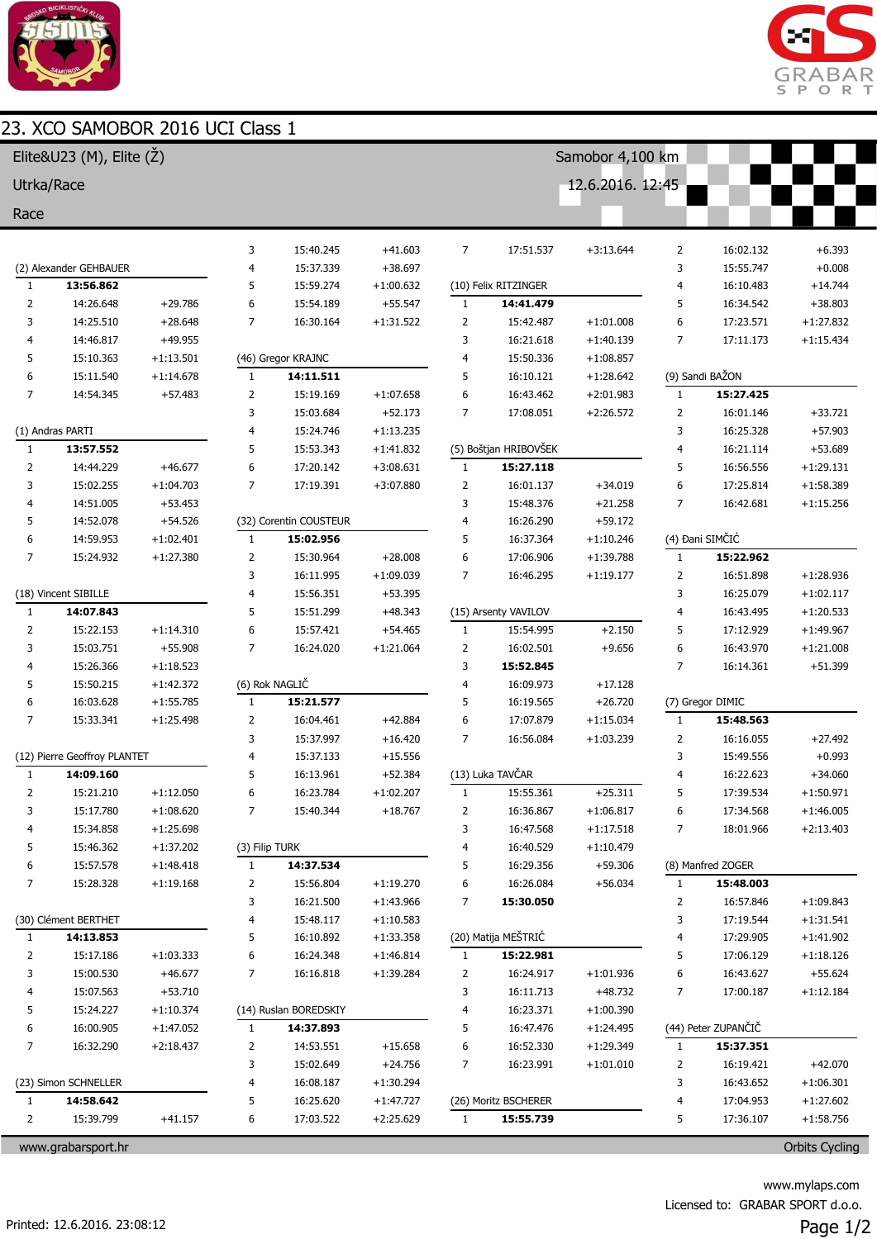

## 23. XCO SAMOBOR 2016 LICT Class 1



| UDUN 4010 U<br>Elite&U23 (M), Elite $(\check{Z})$ |                              |             |                |                        |             |                               | Samobor 4,100 km      |                  |                |                     |             |  |  |
|---------------------------------------------------|------------------------------|-------------|----------------|------------------------|-------------|-------------------------------|-----------------------|------------------|----------------|---------------------|-------------|--|--|
| Utrka/Race                                        |                              |             |                |                        |             |                               |                       | 12.6.2016. 12:45 |                |                     |             |  |  |
|                                                   |                              |             |                |                        |             |                               |                       |                  |                |                     |             |  |  |
| Race                                              |                              |             |                |                        |             |                               |                       |                  |                |                     |             |  |  |
|                                                   |                              |             | 3              | 15:40.245              | $+41.603$   | $\overline{7}$                | 17:51.537             | $+3:13.644$      | 2              | 16:02.132           | $+6.393$    |  |  |
|                                                   | (2) Alexander GEHBAUER       |             | 4              | 15:37.339              | $+38.697$   |                               |                       |                  | 3              | 15:55.747           | $+0.008$    |  |  |
| $\mathbf{1}$                                      | 13:56.862                    |             | 5              | 15:59.274              | $+1:00.632$ |                               | (10) Felix RITZINGER  |                  | 4              | 16:10.483           | $+14.744$   |  |  |
| $\overline{2}$                                    | 14:26.648                    | $+29.786$   | 6              | 15:54.189              | $+55.547$   | $\mathbf{1}$                  | 14:41.479             |                  | 5              | 16:34.542           | $+38.803$   |  |  |
| 3                                                 | 14:25.510                    | $+28.648$   | 7              | 16:30.164              | $+1:31.522$ | $\overline{2}$                | 15:42.487             | $+1:01.008$      | 6              | 17:23.571           | $+1:27.832$ |  |  |
| 4                                                 | 14:46.817                    | $+49.955$   |                |                        |             | 3                             | 16:21.618             | $+1:40.139$      | $\overline{7}$ | 17:11.173           | $+1:15.434$ |  |  |
| 5                                                 | 15:10.363                    | $+1:13.501$ |                | (46) Gregor KRAJNC     |             | $\overline{4}$                | 15:50.336             | $+1:08.857$      |                |                     |             |  |  |
| 6                                                 | 15:11.540                    | $+1:14.678$ | $\mathbf{1}$   | 14:11.511              |             | 5                             | 16:10.121             | $+1:28.642$      |                | (9) Sandi BAŽON     |             |  |  |
| 7                                                 | 14:54.345                    | $+57.483$   | $\overline{2}$ | 15:19.169              | $+1:07.658$ | 6                             | 16:43.462             | $+2:01.983$      | $\mathbf{1}$   | 15:27.425           |             |  |  |
|                                                   |                              |             | 3              | 15:03.684              | $+52.173$   | $\overline{7}$                | 17:08.051             | $+2:26.572$      | $\overline{2}$ | 16:01.146           | $+33.721$   |  |  |
|                                                   | (1) Andras PARTI             |             | 4              | 15:24.746              | $+1:13.235$ |                               |                       |                  | 3              | 16:25.328           | $+57.903$   |  |  |
| $\mathbf{1}$                                      | 13:57.552                    |             | 5              | 15:53.343              | $+1:41.832$ |                               | (5) Boštjan HRIBOVŠEK |                  | 4              | 16:21.114           | $+53.689$   |  |  |
| $\overline{2}$                                    | 14:44.229                    | $+46.677$   | 6              | 17:20.142              | $+3:08.631$ | $\mathbf{1}$                  | 15:27.118             |                  | 5              | 16:56.556           | $+1:29.131$ |  |  |
| 3                                                 | 15:02.255                    | $+1:04.703$ | $\overline{7}$ | 17:19.391              | $+3:07.880$ | $\overline{2}$                | 16:01.137             | $+34.019$        | 6              | 17:25.814           | $+1:58.389$ |  |  |
| 4                                                 | 14:51.005                    | $+53.453$   |                |                        |             | 3                             | 15:48.376             | $+21.258$        | $\overline{7}$ | 16:42.681           | $+1:15.256$ |  |  |
| 5                                                 | 14:52.078                    | $+54.526$   |                | (32) Corentin COUSTEUR |             | 4                             | 16:26.290             | $+59.172$        |                |                     |             |  |  |
| 6                                                 | 14:59.953                    | $+1:02.401$ | $\mathbf{1}$   | 15:02.956              |             | 5                             | 16:37.364             | $+1:10.246$      |                | (4) Đani SIMČIĆ     |             |  |  |
| 7                                                 | 15:24.932                    | $+1:27.380$ | $\overline{2}$ | 15:30.964              | $+28.008$   | 6                             | 17:06.906             | $+1:39.788$      | $1\,$          | 15:22.962           |             |  |  |
|                                                   |                              |             | 3              | 16:11.995              | $+1:09.039$ | $\overline{7}$                | 16:46.295             | $+1:19.177$      | $\overline{2}$ | 16:51.898           | $+1:28.936$ |  |  |
|                                                   | (18) Vincent SIBILLE         |             | 4              | 15:56.351              | $+53.395$   |                               |                       |                  | 3              | 16:25.079           | $+1:02.117$ |  |  |
| $\mathbf{1}$                                      | 14:07.843                    |             | 5              | 15:51.299              | $+48.343$   |                               | (15) Arsenty VAVILOV  |                  | 4              | 16:43.495           | $+1:20.533$ |  |  |
| 2                                                 | 15:22.153                    | $+1:14.310$ | 6              | 15:57.421              | $+54.465$   | $\mathbf{1}$                  | 15:54.995             | $+2.150$         | 5              | 17:12.929           | $+1:49.967$ |  |  |
| 3                                                 | 15:03.751                    | $+55.908$   | 7              | 16:24.020              | $+1:21.064$ | $\overline{2}$                | 16:02.501             | $+9.656$         | 6              | 16:43.970           | $+1:21.008$ |  |  |
| 4                                                 | 15:26.366                    | $+1:18.523$ |                |                        |             | 3                             | 15:52.845             |                  | $\overline{7}$ | 16:14.361           | $+51.399$   |  |  |
| 5                                                 | 15:50.215                    | $+1:42.372$ |                | (6) Rok NAGLIČ         |             | $\overline{4}$                | 16:09.973             | $+17.128$        |                |                     |             |  |  |
| 6                                                 | 16:03.628                    | $+1:55.785$ | $\mathbf{1}$   | 15:21.577              |             | 5                             | 16:19.565             | $+26.720$        |                | (7) Gregor DIMIC    |             |  |  |
| $\overline{7}$                                    | 15:33.341                    | $+1:25.498$ | $\overline{2}$ | 16:04.461              | $+42.884$   | 6                             | 17:07.879             | $+1:15.034$      | 1              | 15:48.563           |             |  |  |
|                                                   |                              |             | 3              | 15:37.997              | $+16.420$   | $\overline{7}$                | 16:56.084             | $+1:03.239$      | $\overline{2}$ | 16:16.055           | $+27.492$   |  |  |
|                                                   | (12) Pierre Geoffroy PLANTET |             | 4              | 15:37.133              | $+15.556$   |                               |                       |                  | 3              | 15:49.556           | $+0.993$    |  |  |
| 1                                                 | 14:09.160                    |             | 5              | 16:13.961              | $+52.384$   |                               | (13) Luka TAVČAR      |                  | 4              | 16:22.623           | $+34.060$   |  |  |
|                                                   | 15:21.210                    | $+1:12.050$ | 6              | 16:23.784              | $+1:02.207$ | $\mathbf{1}$                  | 15:55.361             | $+25.311$        | 5              | 17:39.534           | $+1:50.971$ |  |  |
| 3                                                 | 15:17.780                    | $+1:08.620$ | 7              | 15:40.344              | $+18.767$   | 2                             | 16:36.867             | $+1:06.817$      | 6              | 17:34.568           | $+1:46.005$ |  |  |
| 4                                                 | 15:34.858                    | $+1:25.698$ |                |                        |             | 3                             | 16:47.568             | $+1:17.518$      | 7              | 18:01.966           | $+2:13.403$ |  |  |
| 5                                                 | 15:46.362                    | $+1:37.202$ | (3) Filip TURK |                        |             | 4<br>16:40.529<br>$+1:10.479$ |                       |                  |                |                     |             |  |  |
| 6                                                 | 15:57.578                    | $+1:48.418$ | $\mathbf{1}$   | 14:37.534              |             | 5                             | 16:29.356             | $+59.306$        |                | (8) Manfred ZOGER   |             |  |  |
| 7                                                 | 15:28.328                    | $+1:19.168$ | 2              | 15:56.804              | $+1:19.270$ | 6                             | 16:26.084             | $+56.034$        | 1              | 15:48.003           |             |  |  |
|                                                   |                              |             | 3              | 16:21.500              | $+1:43.966$ | 7                             | 15:30.050             |                  | 2              | 16:57.846           | $+1:09.843$ |  |  |
|                                                   | (30) Clément BERTHET         |             | 4              | 15:48.117              | $+1:10.583$ |                               |                       |                  | 3              | 17:19.544           | $+1:31.541$ |  |  |
| $\mathbf{1}$                                      | 14:13.853                    |             | 5              | 16:10.892              | $+1:33.358$ |                               | (20) Matija MEŠTRIĆ   |                  | 4              | 17:29.905           | $+1:41.902$ |  |  |
| 2                                                 | 15:17.186                    | $+1:03.333$ | 6              | 16:24.348              | $+1:46.814$ | 1                             | 15:22.981             |                  | 5              | 17:06.129           | $+1:18.126$ |  |  |
| 3                                                 | 15:00.530                    | $+46.677$   | 7              | 16:16.818              | $+1:39.284$ | 2                             | 16:24.917             | $+1:01.936$      | 6              | 16:43.627           | $+55.624$   |  |  |
| 4                                                 | 15:07.563                    | $+53.710$   |                |                        |             | 3                             | 16:11.713             | $+48.732$        | 7              | 17:00.187           | $+1:12.184$ |  |  |
| 5                                                 | 15:24.227                    | $+1:10.374$ |                | (14) Ruslan BOREDSKIY  |             | 4                             | 16:23.371             | $+1:00.390$      |                |                     |             |  |  |
| 6                                                 | 16:00.905                    | $+1:47.052$ | $\mathbf{1}$   | 14:37.893              |             | 5                             | 16:47.476             | $+1:24.495$      |                | (44) Peter ZUPANČIČ |             |  |  |
| 7                                                 | 16:32.290                    | $+2:18.437$ | 2              | 14:53.551              | $+15.658$   | 6                             | 16:52.330             | $+1:29.349$      | $\mathbf{1}$   | 15:37.351           |             |  |  |
|                                                   |                              |             | 3              | 15:02.649              | $+24.756$   | 7                             | 16:23.991             | $+1:01.010$      | 2              | 16:19.421           | $+42.070$   |  |  |
|                                                   | (23) Simon SCHNELLER         |             | 4              | 16:08.187              | $+1:30.294$ |                               |                       |                  | 3              | 16:43.652           | $+1:06.301$ |  |  |
| 1                                                 | 14:58.642                    |             | 5              | 16:25.620              | $+1:47.727$ |                               | (26) Moritz BSCHERER  |                  | 4              | 17:04.953           | $+1:27.602$ |  |  |
| $\overline{2}$                                    | 15:39.799                    | $+41.157$   | 6              | 17:03.522              | $+2:25.629$ | $\mathbf{1}$                  | 15:55.739             |                  | 5              | 17:36.107           | $+1:58.756$ |  |  |

www.grabarsport.hr